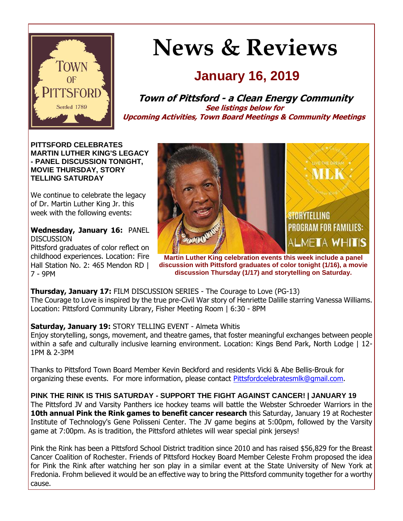

# **News & Reviews**

# **January 16, 2019**

**Town of Pittsford - a Clean Energy Community See listings below for Upcoming Activities, Town Board Meetings & Community Meetings**

**PITTSFORD CELEBRATES MARTIN LUTHER KING'S LEGACY - PANEL DISCUSSION TONIGHT, MOVIE THURSDAY, STORY TELLING SATURDAY**

We continue to celebrate the legacy of Dr. Martin Luther King Jr. this week with the following events:

**Wednesday, January 16:** PANEL **DISCUSSION** 

Pittsford graduates of color reflect on childhood experiences. Location: Fire Hall Station No. 2: 465 Mendon RD | 7 - 9PM



**Martin Luther King celebration events this week include a panel discussion with Pittsford graduates of color tonight (1/16), a movie discussion Thursday (1/17) and storytelling on Saturday.** 

**Thursday, January 17:** FILM DISCUSSION SERIES - The Courage to Love (PG-13) The Courage to Love is inspired by the true pre-Civil War story of Henriette Dalille starring Vanessa Williams. Location: Pittsford Community Library, Fisher Meeting Room | 6:30 - 8PM

## **Saturday, January 19:** STORY TELLING EVENT - Almeta Whitis

Enjoy storytelling, songs, movement, and theatre games, that foster meaningful exchanges between people within a safe and culturally inclusive learning environment. Location: Kings Bend Park, North Lodge | 12- 1PM & 2-3PM

Thanks to Pittsford Town Board Member Kevin Beckford and residents Vicki & Abe Bellis-Brouk for organizing these events. For more information, please contact [Pittsfordcelebratesmlk@gmail.com.](mailto:Pittsfordcelebratesmlk@gmail.com)

## **PINK THE RINK IS THIS SATURDAY - SUPPORT THE FIGHT AGAINST CANCER! | JANUARY 19**

The Pittsford JV and Varsity Panthers ice hockey teams will battle the Webster Schroeder Warriors in the **10th annual Pink the Rink games to benefit cancer research** this Saturday, January 19 at Rochester Institute of Technology's Gene Polisseni Center. The JV game begins at 5:00pm, followed by the Varsity game at 7:00pm. As is tradition, the Pittsford athletes will wear special pink jerseys!

Pink the Rink has been a Pittsford School District tradition since 2010 and has raised \$56,829 for the Breast Cancer Coalition of Rochester. Friends of Pittsford Hockey Board Member Celeste Frohm proposed the idea for Pink the Rink after watching her son play in a similar event at the State University of New York at Fredonia. Frohm believed it would be an effective way to bring the Pittsford community together for a worthy cause.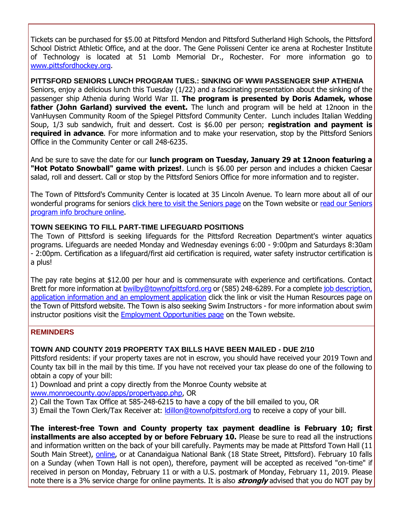Tickets can be purchased for \$5.00 at Pittsford Mendon and Pittsford Sutherland High Schools, the Pittsford School District Athletic Office, and at the door. The Gene Polisseni Center ice arena at Rochester Institute of Technology is located at 51 Lomb Memorial Dr., Rochester. For more information go to [www.pittsfordhockey.org.](http://r20.rs6.net/tn.jsp?f=001L9uowlxeID0k2HacEv8Thw1eg_4ZOWqbOx_DKLoamxCvyBMNPdAdKfDsMpVlhQ-gvpJKlfl74-VBSApK4xtkK_qqVxXt2EfrqB9r1nuV7k5riusi7oPs-1r4ymTGGRNw8QgdNUq-QqlqBbeUINzMo7tWSHiCJ_sP3lAOTW7tdF23MDMNg2zGpdBmW1KGxcURthHJy1YWHe4oY8HbROxJm3i9XNyp1Xi5ncyET2m4VTJgfphu2ASC2RCv6t_wcLNoDMt16BfCZESTStEYhsKbBFqa0WcaJ8NLRUIwxmFo4dc=&c=tLQUf4UyyPggcmIheeefYPdtKZkRgVCYvl6MMWcjP-PnMnyUBXHU4A==&ch=g9u9FF-HsRqvoDMZhkDqf0otKR1FRENvazlybN9pTSOeApaenknPsw==)

**PITTSFORD SENIORS LUNCH PROGRAM TUES.: SINKING OF WWII PASSENGER SHIP ATHENIA** Seniors, enjoy a delicious lunch this Tuesday (1/22) and a fascinating presentation about the sinking of the passenger ship Athenia during World War II. **The program is presented by Doris Adamek, whose father (John Garland) survived the event.** The lunch and program will be held at 12noon in the VanHuysen Community Room of the Spiegel Pittsford Community Center. Lunch includes Italian Wedding Soup, 1/3 sub sandwich, fruit and dessert. Cost is \$6.00 per person; **registration and payment is required in advance**. For more information and to make your reservation, stop by the Pittsford Seniors Office in the Community Center or call 248-6235.

And be sure to save the date for our **lunch program on Tuesday, January 29 at 12noon featuring a "Hot Potato Snowball" game with prizes!**. Lunch is \$6.00 per person and includes a chicken Caesar salad, roll and dessert. Call or stop by the Pittsford Seniors Office for more information and to register.

The Town of Pittsford's Community Center is located at 35 Lincoln Avenue. To learn more about all of our wonderful programs for seniors [click here to visit the Seniors page](http://r20.rs6.net/tn.jsp?f=001L9uowlxeID0k2HacEv8Thw1eg_4ZOWqbOx_DKLoamxCvyBMNPdAdKXtmYCYo-i1gj0L39kPxOgDFxuUk-91G12WIs21PwmGjIGKgDgW1Qxlr5AYxQh3yOoZK9VJyC82wbW6FE_GfPqOr8cENnCGdGkEjXtMTEhCdQIFBxGpF28qEYpApI36il_hZ-rMYZkhyr0vvKR0025YWyZ46k2IIz6DepuOADd1SO0WuMlEq9U4H9M-IyhxkYJbBKqxKi2jQkcK7gEXfYcvbmUhZZFoiNx3LK4psdm1zGEyY6UgFvC8vMH3US6SOBA==&c=tLQUf4UyyPggcmIheeefYPdtKZkRgVCYvl6MMWcjP-PnMnyUBXHU4A==&ch=g9u9FF-HsRqvoDMZhkDqf0otKR1FRENvazlybN9pTSOeApaenknPsw==) on the Town website or read our Seniors [program info brochure online.](http://r20.rs6.net/tn.jsp?f=001L9uowlxeID0k2HacEv8Thw1eg_4ZOWqbOx_DKLoamxCvyBMNPdAdKbOvk8bWf6Idv2Xtsgkm5nCfjW-Sxah2HonoZlIOZguBcPuxusNSpVqH5IY2V4kCQf96OdgWujBDLbm9b7wXAMbGXD_xr81gLUxjwUtA1wUtxMlq4j-jd7Sk1-wQ4fjwxwDnKOSMK87RJqPcM-bucrpcIRF9nGq3P2Iks8Ponux_zEWTmdk-0QNXH5vdE3SK_OxCuQaAQkUWCY-On7zN1lf2x7-rhxQO2DOSmCDZ1-sXSNF5YXtyM3OfEVXUxF0afnxX91wqxTgPUBNlfm1qsBHwAIORRwFGIi0ayrTfhDflzArv-R4k_1zRyfZhy-68BA==&c=tLQUf4UyyPggcmIheeefYPdtKZkRgVCYvl6MMWcjP-PnMnyUBXHU4A==&ch=g9u9FF-HsRqvoDMZhkDqf0otKR1FRENvazlybN9pTSOeApaenknPsw==)

#### **TOWN SEEKING TO FILL PART-TIME LIFEGUARD POSITIONS**

The Town of Pittsford is seeking lifeguards for the Pittsford Recreation Department's winter aquatics programs. Lifeguards are needed Monday and Wednesday evenings 6:00 - 9:00pm and Saturdays 8:30am - 2:00pm. Certification as a lifeguard/first aid certification is required, water safety instructor certification is a plus!

The pay rate begins at \$12.00 per hour and is commensurate with experience and certifications. Contact Brett for more information at **[bwilby@townofpittsford.org](mailto:bwilby@townofpittsford.org?subject=Lifeguard%20position)** or (585) 248-6289. For a complete job description, [application information and an employment application](http://r20.rs6.net/tn.jsp?f=001L9uowlxeID0k2HacEv8Thw1eg_4ZOWqbOx_DKLoamxCvyBMNPdAdKXrC0vp4BnsNBBLY3HwfxVfEjG5QyEGxK9xvb5Heh9as3K77BumbtklUbJZ9K25ROGzcwbrOXxnFykM02fWpxojmEpiCLnotB7IszDzE7o3aIoCah7PCcJ_YuOa5UkU_t890nmSRlS5hb0kZ_2tPDxoIR6QJ-jD2XGwv7IDW1xPqjh3ud7JMZTfDUqc-hS0pmrE6uPvxn1upgBDSLVLpQ80jtoNpFivrbLkz01cBBra_zKY3G0t4jCDzu_iC7ixHYoU-1r9pXb_k0esnFiadKxBkOFkDAgxRdXdOcyGdl_SIu7AatkJaQ3Ipiau2owdbCWFC17UY9eqTeT0UsnPyBQ4-akIjseuxdw==&c=tLQUf4UyyPggcmIheeefYPdtKZkRgVCYvl6MMWcjP-PnMnyUBXHU4A==&ch=g9u9FF-HsRqvoDMZhkDqf0otKR1FRENvazlybN9pTSOeApaenknPsw==) click the link or visit the Human Resources page on the Town of Pittsford website. The Town is also seeking Swim Instructors - for more information about swim instructor positions visit the **[Employment Opportunities page](http://r20.rs6.net/tn.jsp?f=001L9uowlxeID0k2HacEv8Thw1eg_4ZOWqbOx_DKLoamxCvyBMNPdAdKSE0pJCfbyRpbJXYS9hZ7XcJLz0PAG6R-W9PAKtZttLw6XniQe_C0_QbN5vb-kcaeb4m9jHReme1A3sTwAh9Umk6jVXDIoMjlleMcXscikWB46DB-AIxt_ZjgNS_4APNxNpvrndxhBmiCy_FkK849hQ4Cb0x8X0gwTH3AWztKqtNHUKBjuYEHXqZbFuYWWxI_stISCy_O3BWNkZ-ZmpRWUXpUoy3tFMXAGqLG0XZT_Lor4gKgwV3HsTjJLKChca02m8OkgpyJJiQlDY09uTATOc_Gtv4drd42v1RCRVSGyDL&c=tLQUf4UyyPggcmIheeefYPdtKZkRgVCYvl6MMWcjP-PnMnyUBXHU4A==&ch=g9u9FF-HsRqvoDMZhkDqf0otKR1FRENvazlybN9pTSOeApaenknPsw==)** on the Town website.

#### **REMINDERS**

#### **TOWN AND COUNTY 2019 PROPERTY TAX BILLS HAVE BEEN MAILED - DUE 2/10**

Pittsford residents: if your property taxes are not in escrow, you should have received your 2019 Town and County tax bill in the mail by this time. If you have not received your tax please do one of the following to obtain a copy of your bill:

1) Download and print a copy directly from the Monroe County website at [www.monroecounty.gov/apps/propertyapp.php,](http://r20.rs6.net/tn.jsp?f=001L9uowlxeID0k2HacEv8Thw1eg_4ZOWqbOx_DKLoamxCvyBMNPdAdKVn2OF3boOxRPMuaScDjZV_7qu83mbo0L0JctS-bJO-uK8fhr_FyQqAyIavAFaunEn3w5usoEMCaHFxLKU8-K-4Lx4pg1xW15VygnYuwbIxKe12Wtf09GzEpOW3vMTzb_dqIFZJ5uULYWemFMjSvvBtWlUXyNrVzrxlXO5eC_qJusdFLQlPlAo34F3oowWxkq398T3hzCbCbVczw1iS3-W0Flpf8WExzSQe1rP4XiU05evl-Ka5GQ-YcEjfajSmYJUWVtLV20UIu&c=tLQUf4UyyPggcmIheeefYPdtKZkRgVCYvl6MMWcjP-PnMnyUBXHU4A==&ch=g9u9FF-HsRqvoDMZhkDqf0otKR1FRENvazlybN9pTSOeApaenknPsw==) OR

2) Call the Town Tax Office at 585-248-6215 to have a copy of the bill emailed to you, OR

3) Email the Town Clerk/Tax Receiver at: Idillon@townofpittsford.org to receive a copy of your bill.

**The interest-free Town and County property tax payment deadline is February 10; first installments are also accepted by or before February 10.** Please be sure to read all the instructions and information written on the back of your bill carefully. Payments may be made at Pittsford Town Hall (11 South Main Street), [online,](http://r20.rs6.net/tn.jsp?f=001L9uowlxeID0k2HacEv8Thw1eg_4ZOWqbOx_DKLoamxCvyBMNPdAdKVn2OF3boOxRPMuaScDjZV_7qu83mbo0L0JctS-bJO-uK8fhr_FyQqAyIavAFaunEn3w5usoEMCaHFxLKU8-K-4Lx4pg1xW15VygnYuwbIxKe12Wtf09GzEpOW3vMTzb_dqIFZJ5uULYWemFMjSvvBtWlUXyNrVzrxlXO5eC_qJusdFLQlPlAo34F3oowWxkq398T3hzCbCbVczw1iS3-W0Flpf8WExzSQe1rP4XiU05evl-Ka5GQ-YcEjfajSmYJUWVtLV20UIu&c=tLQUf4UyyPggcmIheeefYPdtKZkRgVCYvl6MMWcjP-PnMnyUBXHU4A==&ch=g9u9FF-HsRqvoDMZhkDqf0otKR1FRENvazlybN9pTSOeApaenknPsw==) or at Canandaigua National Bank (18 State Street, Pittsford). February 10 falls on a Sunday (when Town Hall is not open), therefore, payment will be accepted as received "on-time" if received in person on Monday, February 11 or with a U.S. postmark of Monday, February 11, 2019. Please note there is a 3% service charge for online payments. It is also **strongly** advised that you do NOT pay by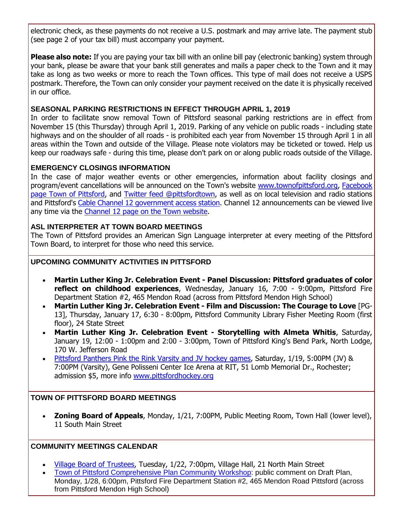electronic check, as these payments do not receive a U.S. postmark and may arrive late. The payment stub (see page 2 of your tax bill) must accompany your payment.

**Please also note:** If you are paying your tax bill with an online bill pay (electronic banking) system through your bank, please be aware that your bank still generates and mails a paper check to the Town and it may take as long as two weeks or more to reach the Town offices. This type of mail does not receive a USPS postmark. Therefore, the Town can only consider your payment received on the date it is physically received in our office.

#### **SEASONAL PARKING RESTRICTIONS IN EFFECT THROUGH APRIL 1, 2019**

In order to facilitate snow removal Town of Pittsford seasonal parking restrictions are in effect from November 15 (this Thursday) through April 1, 2019. Parking of any vehicle on public roads - including state highways and on the shoulder of all roads - is prohibited each year from November 15 through April 1 in all areas within the Town and outside of the Village. Please note violators may be ticketed or towed. Help us keep our roadways safe - during this time, please don't park on or along public roads outside of the Village.

#### **EMERGENCY CLOSINGS INFORMATION**

In the case of major weather events or other emergencies, information about facility closings and program/event cancellations will be announced on the Town's website [www.townofpittsford.org,](http://townofpittsford.org/?utm_source=eNews+1-16-19&utm_campaign=eNews+01-16-19&utm_medium=email) [Facebook](https://www.facebook.com/pages/Town-of-Pittsford/139082619464200)  [page Town of Pittsford,](https://www.facebook.com/pages/Town-of-Pittsford/139082619464200) and [Twitter feed @pittsfordtown,](http://r20.rs6.net/tn.jsp?f=001L9uowlxeID0k2HacEv8Thw1eg_4ZOWqbOx_DKLoamxCvyBMNPdAdKUfrlXNX6wZB3cj90L2AwH8qUjNkCcz8cNGbt1Ce_3KiW-hHiYJDMJvlXCtXAMfiO1V23swXw1MCz64v30HuL3qV5lLYkOUPRMbisUDzFqWGbD3yFhd647px-JdMWzWz_Q==&c=tLQUf4UyyPggcmIheeefYPdtKZkRgVCYvl6MMWcjP-PnMnyUBXHU4A==&ch=g9u9FF-HsRqvoDMZhkDqf0otKR1FRENvazlybN9pTSOeApaenknPsw==) as well as on local television and radio stations and Pittsford's [Cable Channel 12 government access station.](http://townofpittsford.org/home-channel12?utm_source=eNews+1-16-19&utm_campaign=eNews+01-16-19&utm_medium=email) Channel 12 announcements can be viewed live any time via the [Channel 12 page on the Town website.](http://townofpittsford.org/home-channel12?utm_source=eNews+1-16-19&utm_campaign=eNews+01-16-19&utm_medium=email)

#### **ASL INTERPRETER AT TOWN BOARD MEETINGS**

The Town of Pittsford provides an American Sign Language interpreter at every meeting of the Pittsford Town Board, to interpret for those who need this service.

#### **UPCOMING COMMUNITY ACTIVITIES IN PITTSFORD**

- **Martin Luther King Jr. Celebration Event - Panel Discussion: Pittsford graduates of color reflect on childhood experiences**, Wednesday, January 16, 7:00 - 9:00pm, Pittsford Fire Department Station #2, 465 Mendon Road (across from Pittsford Mendon High School)
- **Martin Luther King Jr. Celebration Event - Film and Discussion: The Courage to Love** [PG-13], Thursday, January 17, 6:30 - 8:00pm, Pittsford Community Library Fisher Meeting Room (first floor), 24 State Street
- **Martin Luther King Jr. Celebration Event - Storytelling with Almeta Whitis**, Saturday, January 19, 12:00 - 1:00pm and 2:00 - 3:00pm, Town of Pittsford King's Bend Park, North Lodge, 170 W. Jefferson Road
- [Pittsford Panthers Pink the Rink Varsity and JV hockey games,](http://r20.rs6.net/tn.jsp?f=001L9uowlxeID0k2HacEv8Thw1eg_4ZOWqbOx_DKLoamxCvyBMNPdAdKfDsMpVlhQ-gvpJKlfl74-VBSApK4xtkK_qqVxXt2EfrqB9r1nuV7k5riusi7oPs-1r4ymTGGRNw8QgdNUq-QqlqBbeUINzMo7tWSHiCJ_sP3lAOTW7tdF23MDMNg2zGpdBmW1KGxcURthHJy1YWHe4oY8HbROxJm3i9XNyp1Xi5ncyET2m4VTJgfphu2ASC2RCv6t_wcLNoDMt16BfCZESTStEYhsKbBFqa0WcaJ8NLRUIwxmFo4dc=&c=tLQUf4UyyPggcmIheeefYPdtKZkRgVCYvl6MMWcjP-PnMnyUBXHU4A==&ch=g9u9FF-HsRqvoDMZhkDqf0otKR1FRENvazlybN9pTSOeApaenknPsw==) Saturday, 1/19, 5:00PM (JV) & 7:00PM (Varsity), Gene Polisseni Center Ice Arena at RIT, 51 Lomb Memorial Dr., Rochester; admission \$5, more info [www.pittsfordhockey.org](http://r20.rs6.net/tn.jsp?f=001L9uowlxeID0k2HacEv8Thw1eg_4ZOWqbOx_DKLoamxCvyBMNPdAdKfDsMpVlhQ-gvpJKlfl74-VBSApK4xtkK_qqVxXt2EfrqB9r1nuV7k5riusi7oPs-1r4ymTGGRNw8QgdNUq-QqlqBbeUINzMo7tWSHiCJ_sP3lAOTW7tdF23MDMNg2zGpdBmW1KGxcURthHJy1YWHe4oY8HbROxJm3i9XNyp1Xi5ncyET2m4VTJgfphu2ASC2RCv6t_wcLNoDMt16BfCZESTStEYhsKbBFqa0WcaJ8NLRUIwxmFo4dc=&c=tLQUf4UyyPggcmIheeefYPdtKZkRgVCYvl6MMWcjP-PnMnyUBXHU4A==&ch=g9u9FF-HsRqvoDMZhkDqf0otKR1FRENvazlybN9pTSOeApaenknPsw==)

#### **TOWN OF PITTSFORD BOARD MEETINGS**

 **Zoning Board of Appeals**, Monday, 1/21, 7:00PM, Public Meeting Room, Town Hall (lower level), 11 South Main Street

#### **COMMUNITY MEETINGS CALENDAR**

- [Village Board of Trustees,](http://www.villageofpittsford.com/?utm_source=eNews+1-16-19&utm_campaign=eNews+01-16-19&utm_medium=email) Tuesday, 1/22, 7:00pm, Village Hall, 21 North Main Street
- [Town of Pittsford Comprehensive Plan Community Workshop:](http://r20.rs6.net/tn.jsp?f=001L9uowlxeID0k2HacEv8Thw1eg_4ZOWqbOx_DKLoamxCvyBMNPdAdKVwB433M2jV2ybA0vcYKDyLxINGDHSR7iuFc-e_zzMsPG9xau7_Nnkt53HWLQ11GXmqeGPz870neZRfoihbyoAXYNpVbaLiAfsqn4veahVyL74hoeRygPUGho5UZsFSVUk9-VaHEl1MLlVNWOS1N_kPN3RyuOcrWRZrUnPQf-G0yFcY1NLb4Z3WBzinD4z_xfUPVCGkm4UsIMJNPUP125sxxH7cJ8VZHeTjsDB4GjT61xcwgT-9u2EXlVqz4gGEZ0Zvn9eflNFjz&c=tLQUf4UyyPggcmIheeefYPdtKZkRgVCYvl6MMWcjP-PnMnyUBXHU4A==&ch=g9u9FF-HsRqvoDMZhkDqf0otKR1FRENvazlybN9pTSOeApaenknPsw==) public comment on Draft Plan, Monday, 1/28, 6:00pm, Pittsford Fire Department Station #2, 465 Mendon Road Pittsford (across from Pittsford Mendon High School)